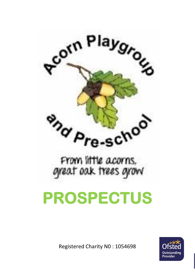

# **PROSPECTUS**

Registered Charity N0 : 1054698

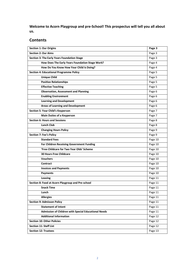**Welcome to Acorn Playgroup and pre-School! This prospectus will tell you all about us.** 

# **Contents**

| <b>Section 1: Our Origins</b>                        | Page 3  |
|------------------------------------------------------|---------|
| <b>Section 2: Our Aims</b>                           | Page 3  |
| <b>Section 3: The Early Years Foundation Stage</b>   | Page 3  |
| How Does The Early Years Foundation Stage Work?      | Page 4  |
| How Do You Know How Your Child Is Doing?             | Page 4  |
| <b>Section 4: Educational Programme Policy</b>       | Page 5  |
| <b>Unique Child</b>                                  | Page 5  |
| <b>Positive Relationships</b>                        | Page 5  |
| <b>Effective Teaching</b>                            | Page 5  |
| <b>Observation, Assessment and Planning</b>          | Page 6  |
| <b>Enabling Environment</b>                          | Page 6  |
| <b>Learning and Development</b>                      | Page 6  |
| <b>Areas of Learning and Development</b>             | Page 6  |
| Section 5: Your Child's Keyperson                    | Page 7  |
| <b>Main Duties of a Keyperson</b>                    | Page 7  |
| <b>Section 6: Hours and Sessions</b>                 | Page 8  |
| <b>Lunch Club</b>                                    | Page 8  |
| <b>Changing Hours Policy</b>                         | Page 9  |
| <b>Section 7: Fee's Policy</b>                       | Page 9  |
| <b>Standard Fees</b>                                 | Page 10 |
| For Children Receiving Government Funding            | Page 10 |
| 'Free Childcare for Two Year Olds' Scheme            | Page 10 |
| <b>30 Hours Free Childcare</b>                       | Page 10 |
| <b>Vouchers</b>                                      | Page 10 |
| <b>Contract</b>                                      | Page 10 |
| <b>Invoices and Payments</b>                         | Page 10 |
| <b>Payments</b>                                      | Page 10 |
| Leaving                                              | Page 11 |
| Section 8: Food at Acorn Playgroup and Pre-school    | Page 11 |
| <b>Snack Time</b>                                    | Page 11 |
| Lunch                                                | Page 11 |
| <b>Allergies</b>                                     | Page 11 |
| <b>Section 9: Admisson Policy</b>                    | Page 11 |
| <b>Statement of Intent</b>                           | Page 11 |
| Admission of Children with Special Educational Needs | Page 11 |
| <b>Additional Information</b>                        | Page 12 |
| <b>Section 10: Other Policies</b>                    | Page 12 |
| <b>Section 11: Staff List</b>                        | Page 12 |
| <b>Section 12: Trustees</b>                          | Page 13 |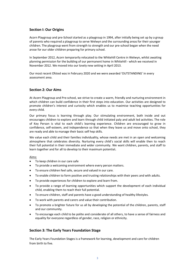# **Section I: Our Origins**

Acorn Playgroup and pre-School started as a playgroup in 1994, after initially being set up by a group of parents who required a playgroup to serve Welwyn and the surrounding areas for their younger children. The playgroup went from strength to strength and our pre-school began when the need arose for our older children preparing for primary school.

In September 2012, Acorn temporarily relocated to the Whitehill Centre in Welwyn, whilst awaiting planning permission for the building of our permanent home in Whitehill - which we received in November 2012. We moved into our lovely new setting in April 2013.

Our most recent Ofsted was in February 2020 and we were awarded 'OUTSTANDING' in every assessment area.

# **Section 2: Our Aims**

At Acorn Playgroup and Pre-school, we strive to create a warm, friendly and nurturing environment in which children can build confidence in their first steps into education. Our activities are designed to promote children's interest and curiosity which enables us to maximise teaching opportunities for every child.

Our primary focus is learning through play. Our stimulating environment, both inside and out encourages children to explore and learn through child initiated paly and adult led activities. The role of Key Person is vital to each child's learning experience. Children are encouraged to grow in confidence, self-esteem, and independence so that when they leave us and move onto school, they are ready and able to manage their basic self hep skills.

We value each child and their families individuality, whose needs are met in an open and welcoming atmosphere that celebrates diversity. Nurturing every child's social skills will enable then to reach their full potential in their immediate and wider community. We want children, parents, and staff to learn together and for all to develop to their maximum potential**.**

# Aims:

- To keep children in our care safe
- To provide a welcoming environment where every person matters.
- To ensure children feel safe, secure and valued in our care.
- To enable children to form positive and trusting relationships with their peers and with adults.
- To provide experiences for children to explore and learn from.
- To provide a range of learning opportunities which support the development of each individual child, enabling them to reach their full potential.
- To ensure children, staff and parents have a good understanding of healthy lifestyles.
- To work with parents and carers and value their contribution.
- To promote a brighter future for us all by developing the potential of the children, parents, staff and our community.
- To encourage each child to be polite and considerate of all others, to have a sense of fairness and equality for everyone regardless of gender, race, religion or ethnicity.

# **Section 3: The Early Years Foundation Stage**

The Early Years Foundation Stages is a framework for learning, development and care for children from birth to five.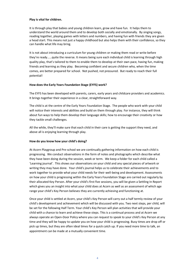### **Play is vital for children.**

It is through play that babies and young children learn, grow and have fun. It helps them to understand the world around them and to develop both socially and emotionally. By singing songs, reading together, playing games with letters and numbers, and having fun with friends they are given a head start. This means not just a happy childhood but also helps them with their confidence, so they can handle what life may bring.

It is not about introducing a curriculum for young children or making them read or write before they're ready……quite the reverse. It means being sure each individual child is learning through high quality play, that's tailored to them to enable them to develop at their own pace, having fun, making friends and learning as they play. Becoming confident and secure children who, when the time comes, are better prepared for school. Not pushed, not pressured. But ready to reach their full potential!

### **How does the Early Years Foundation Stage (EYFS) work?**

The EYFS has been developed with parents, carers, early years and childcare providers and academics. It brings together their experience in a clear, straightforward way.

The child is at the centre of the Early Years Foundation Stage. The people who work with your child will notice their interests and abilities and build on them through play. For instance, they will think about fun ways to help them develop their language skills; how to encourage their creativity or how they tackle small challenges.

All the while, they'll make sure that each child in their care is getting the support they need, and above all is enjoying learning through play.

### **How do you know how your child's doing?**

At Acorn Playgroup and Pre-school we are continually gathering information on how each child is progressing. We conduct observations in the form of notes and photographs which describe what they have been doing during the session, week or term. We keep a folder for each child called a 'Learning journal'. This shows our observations on your child and any special pieces of artwork or writing they may have done. Your child's journal helps us to celebrate their achievements and to work together to provide what your child needs for their well-being and development. Assessments on how your child is progressing within the Early Years Foundation Stage are carried out regularly by their allocated Key Person. After your child's first five sessions, you will be given a Settling In Report which gives you an insight into what your child does at Acorn as well as an assessment of which age range your child's Key Person believes they are currently achieving and functioning at.

Once your child is settled at Acorn, your child's Key Person will carry out a half termly review of your child's development and achievement which will be discussed with you. Two next steps, per child, will be set for the following Half Term. Your child's Key Person will plan activities that will provide your child with a chance to learn and achieve these steps. This is a continual process and at Acorn we always operate an Open-Door Policy where you can request to speak to your child's Key Person at any time and they will be happy to update you on how your child is progressing. Busy times are drop off or pick up times, but they are often ideal times for a quick catch up. If you need more time to talk, an appointment can be made at a mutually convenient time.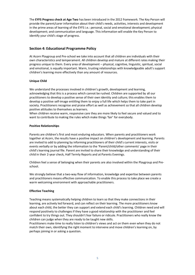The **EYFS Progress check at Age Two** has been introduced in the 2012 framework. The Key Person will provide the parent/carer information about their child's needs, activities, interests and development in the prime areas of learning of the EYFS i.e.: personal, social and emotional development; physical development; and communication and language. This information will enable the Key Person to identify your child's stage of progress.

# **Section 4: Educational Programme Policy**

At Acorn Playgroup and Pre-school we take into account that all children are individuals with their own characteristics and temperament. All children develop and mature at different rates making their progress unique to them. Every area of development – physical, cognitive, linguistic, spiritual, social and emotional, is equally important. Warm, trusting relationships with knowledgeable adult's support children's learning more effectively than any amount of resources.

# **Unique Child**

We understand the processes involved in children's growth, development and learning, acknowledging that this is a process which cannot be rushed. Children are supported by all our practitioners to develop a positive sense of their own identity and culture; this enables them to develop a positive self-image entitling them to enjoy a full life which helps them to take part in society. Practitioners recognise and praise effort as well as achievement so that all children develop positive attitudes to themselves as learners.

When children receive warm, responsive care they are more likely to feel secure and valued and to want to contribute to making the rules which make things 'fair' for everybody.

# **Positive Relationships**

Parents are children's first and most enduring educators. When parents and practitioners work together at Acorn, the results have a positive impact on children's development and learning. Parents are invited to add to planning by informing practitioners of their child's current interests, visits or events verbally or by adding the information to the 'Parent/child/other comments' page in their child's learning journal file. Parent are invited to share their knowledge and understanding of their child in their 2-year check, Half Termly Reports and at Parents Evenings.

Children feel a sense of belonging when their parents are also involved within the Playgroup and Preschool.

We strongly believe that a two-way flow of information, knowledge and expertise between parents and practitioners means effective communication. To enable this process to take place we create a warm welcoming environment with approachable practitioners.

### **Effective Teaching**

Teaching means systematically helping children to learn so that they make connections in their learning, are actively led forward, and can reflect on their learning. The more practitioners know about each child, the better they can support and extend each child's learning. Children need and will respond positively to challenges if they have a good relationship with the practitioner and feel confident to try things out. They shouldn't fear failure or ridicule. Practitioners who really know the children can judge when they are ready to be taught new skills.

Practitioners make time to really listen to children's views and act on them even when they do not match their own, identifying the right moment to intervene and move children's learning on, by perhaps joining in or asking a question.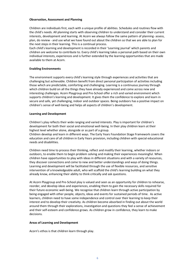### **Observation, Assessment and Planning**

Children are individuals first, each with a unique profile of abilities. Schedules and routines flow with the child's needs. All planning starts with observing children to understand and consider their current interests, development and learning. At Acorn we always follow the same pattern of planning- assess, plan, do review - and use what we have found out about the children so that we are able to plan for the next steps in their learning. This is a continual process.

Each child's learning and development is recorded in their 'Learning journal' which parents and children are welcome to contribute to. Every child's learning takes a personal path based on their own individual interests, experiences and is further extended by the learning opportunities that are made available to them at Acorn.

### **Enabling Environments**

The environment supports every child's learning style through experiences and activities that are challenging but achievable. Children benefit from direct personal participation of activities including those which are predictable, comforting and challenging. Learning is a continuous journey through which children build on all the things they have already experienced and come across new and interesting challenges. Acorn Playgroup and Pre-School offer a rich and varied environment which supports children's learning and development. It gives them the confidence to explore and learn in secure and safe, yet challenging, indoor and outdoor spaces. Being outdoors has a positive impact on children's sense of well-being and helps all aspects of children's development.

### **Learning and Development**

Children's play reflects their wide ranging and varied interests. Play is important for children's development for both their social and emotional well-being. In their play children learn at their highest level whether alone, alongside or as part of a group.

Children develop and learn in different ways. The Early Years Foundation Stage Framework covers the education and care of all children in Early Years provision, including children with special educational needs and disabilities.

Children need time to process their thinking, reflect and modify their learning, whether indoors or outdoors, to enable them to begin problem solving and making their experiences meaningful. When children have opportunities to play with ideas in different situations and with a variety of resources, they discover connections and come to new and better understandings and ways of doing things. Learning and development will be facilitated through the use of flexible resources, and sensitive intervention of a knowledgeable adult, who will scaffold the child's learning building on what they already know, enhancing their ability to think critically and ask questions.

At Acorn Playgroup and Pre-School play is valued and seen as an opportunity for children to rehearse, reorder, and develop ideas and experiences, enabling them to gain the necessary skills required for their future economic well-being. We recognise that children learn through active participation by being engaged with other people, objects, ideas and events for sustained periods of time. As active learners, children need to have some independence and control over their learning to keep their interest and to develop their creativity. As children become absorbed in finding out about the world around them through their explorations, investigation and questions they feel a sense of achievement and their self-esteem and confidence grows. As children grow in confidence, they learn to make decisions.

### **Areas of Learning and Development**

Acorn's ethos is that children learn through play.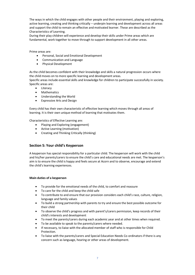The ways in which the child engages with other people and their environment, playing and exploring, active learning, creating and thinking critically – underpin learning and development across all areas and support the child to remain an effective and motivated learner. These are described as the Characteristics of Learning.

During their play children will experience and develop their skills under Prime areas which are fundamental, work together to move through to support development in all other areas.

Prime areas are:

- Personal, Social and Emotional Development
- Communication and Language
- Physical Development

As the child becomes confident with their knowledge and skills a natural progression occurs where the child moves on to more specific learning and development areas.

Specific areas include essential skills and knowledge for children to participate successfully in society. Specific areas are:

- Literacy
- Mathematics
- Understanding the World
- Expressive Arts and Design

Every child has their own characteristic of effective learning which moves through all areas of learning. It is their own unique method of learning that motivates them.

Characteristics of Effective Learning are:

- Playing and Exploring (engagement)
- Active Learning (motivation)
- Creating and Thinking Critically (thinking)

# **Section 5: Your child's Keyperson**

A keyperson has special responsibility for a particular child. The keyperson will work with the child and his/her parents/carers to ensure the child's care and educational needs are met. The keyperson's aim is to ensure the child is happy and feels secure at Acorn and to observe, encourage and extend the child's learning experiences.

### **Main duties of a keyperson**

- To provide for the emotional needs of the child, to comfort and reassure
- To care for the child and keep the child safe
- To contribute to and ensure that our provision considers each child's race, culture, religion, language and family values
- To build a strong partnership with parents to try and ensure the best possible outcome for their child
- To observe the child's progress and with parent's/carers permission, keep records of their child's interests and development
- To meet the parents/carers during each academic year and at other times when required.
- To be available to speak to the parents/carers where needed.
- If necessary, to liaise with the allocated member of staff who is responsible for Child Protection.
- To liaise with the parents/carers and Special Education Needs Co-ordinators if there is any concern such as language, hearing or other areas of development.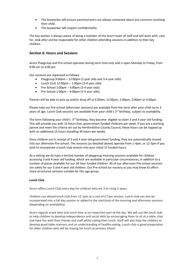- The keyworker will ensure parents/carers are always contacted about any concerns involving their child.
- The keyworker will respect confidentiality

The key worker is always aware of being a member of the Acorn team of staff and will work with, care for, look after and be responsible for other children attending sessions in addition to their key children.

# **Section 6: Hours and Sessions**

Acorn Playgroup and Pre-school operates during term time only and is open Monday to Friday, from 9:00 am to 4:00 pm.

Our sessions are organised as follows:

- Playgroup 9:00am 12:00pm (2 year olds and 3-4 year olds)
- Lunch Club 12:00pm 1:00pm (3-4 year olds)
- Pre-School  $1:00 \text{pm} 3:00 \text{pm}$  (3-4 year olds)
- Pre-School 1:00pm 4:00pm (3-4 year olds)

Parents will be able to pick up and/or drop off at 9.00am, 12:00pm, 1:00pm, 3:00pm or 4:00pm.

Please note our Pre-school (afternoon sessions) are available from the term after your child turns 3 years of age. Lunch Club sessions are available from your child's 3<sup>rd</sup> birthday, subject to availability.

The term following your child's 3<sup>rd</sup> birthday, they become eligible to claim 3 and 4 year old funding. This will provide you with 15 hours free, government funded childcare per week. If you are a working parent and meet the criteria set out by Hertfordshire County Council, these hours can be topped up with an additional 15 hours (totalling 30 hours per week).

Once children are in receipt of 3 and 4 year old government funding, they are automatically moved into our afternoon Pre-school. The sessions (as detailed above) operate from 1-4pm, or 12-3pm if you wish to incorporate a lunch club session into your initial 15 funded hours.

As a setting we do have a limited number of playgroup morning sessions available for children accessing 3 and 4 year old funding, which are available in particular circumstances, in addition to a number of places available for our 30 hour funded children. All of our afternoon Pre-school sessions are solely for our 3 and 4 year old children. Our Pre-school (or nursery as you may know it) offers more structured sessions suitable for this age group.

### **Lunch Club**

Acorn offers Lunch Club every day for children who are 3 to rising 5 years.

Children can attend lunch club from 12-1pm at a cost of £7 per session. Lunch club can also be incorporated into a full day session or added to the start/end of the morning and afternoon sessions (depending on availability).

Acorn regards snack time and lunch time as an important part of the day. We will use the lunch club to help children to develop independence and social skills by encouraging them to sit at a table, chat and have fun with their friends and staff whilst eating their lunch. Staff will also help the children to develop good table manners and an understanding of healthy eating. Lunch club is good preparation for older children who will be staying for lunch at primary school.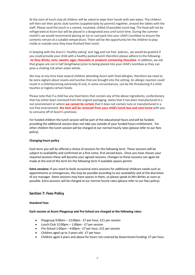At the start of lunch club all children will be asked to wipe their hands with wet wipes. The children will then eat their picnic style lunches (supplied daily by parents) together, around the tables with the staff. Please send the lunch in a named, insulated, chilled (if possible) lunch bag. The food will not be refrigerated at Acorn but will be placed in a designated area until lunch time. During the summer month's we would recommend placing an ice or cool pack into your child's lunchbox to ensure the contents remain at a suitable temperature. There will be the opportunity for the children to play inside or outside once they have finished their lunch.

In keeping with the Acorn's 'healthy eating' and 'egg and nut free' policies, we would be grateful if you could provide your child with a healthy packed lunch therefore please adhere to the following **no fizzy drinks; nuts; sweets; eggs; chocolate or products containing chocolate**. In addition, we ask that grapes are cut in half (lengthwise) prior to being placed into your child's lunchbox as they can pose a choking risk when eaten whole.

We may at any time have several children attending Acorn with food allergies, therefore we need to be extra vigilant about snacks and lunches that are brought into the setting. An allergic reaction could result in a child becoming extremely ill and, in some circumstances, can be life threatening if a child touches or ingests certain foods.

Please note that if a child has any food items that contain any of the above ingredients; confectionery that has either been removed from the original packaging; states that it has been manufactured in a nut environment or where **we cannot be certain** that it does not contain nuts or manufactured in a nut free environment, **the item will be removed from your child's lunch box and sent home** with you to consume off of Acorn's premises.

For funded children the lunch session will be part of the educational hours and will be funded, providing the additional session does not take you outside of your funded hours entitlement. For other children the lunch session will be charged at our normal hourly rates (please refer to our fees policy).

### **Changing hours policy**

Each term you will be offered a choice of sessions for the following term. These sessions will be subject to availability and confirmed on a first come, first served basis. Once you have chosen your required sessions these will become your agreed sessions. Changes to these sessions can again be made at the end of the term for the following term if available spaces permit.

**Extra sessions:** If you need to book occasional extra sessions for additional childcare needs such as appointments or emergencies, this may be possible according to our availability and at the discretion of our manager. Some sessions may have spaces in them, so please speak to Mrs Birtles as soon as possible. Extra sessions will be charged at our normal hourly rates (please refer to our fees policy).

# **Section 7: Fees Policy**

### **Standard Fees**

### **Each session at Acorn Playgroup and Pre-School are charged at the following rates:**

- Playgroup 9:00am 12:00pm £7 per hour, £21 per session
- Lunch Club  $12:00$ pm  $1:00$ pm £7 per session
- Pre-School 1:00pm 4:00pm £7 per hour, £21 per session
- Children aged up to 3 years old: £7 per hour.
- Children aged 3 years and above for hours not covered by Government funding: £7 per hour.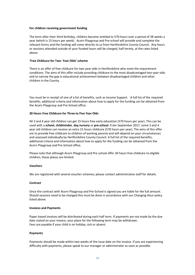### **For children receiving government funding**

The term after their third birthday, children become entitled to 570 hours over a period of 38 weeks a year (which is 15 hours per week). Acorn Playgroup and Pre-school will provide and complete the relevant forms and the funding will come directly to us from Hertfordshire County Council. Any hours or sessions attended outside of your funded hours will be charged, half termly, at the rates listed above.

### **'Free Childcare for Two- Year-Olds' scheme**

There is an offer of free childcare for two-year-olds in Hertfordshire who meet the requirement conditions. The aims of this offer include providing childcare to the most disadvantaged two-year-olds and to narrow the gap in educational achievement between disadvantaged children and other children in the County.

You must be in receipt of one of a list of benefits, such as Income Support. A full list of the required benefits, additional criteria and information about how to apply for the funding can be obtained from the Acorn Playgroup and Pre-School office.

### **30 Hours Free Childcare for Three to Five Year Olds**

All 3 and 4 year old children can get 15 hours free early education (570 hours per year). This can be used with a **school**, **childminder**, **day nursery** or **pre-school**. From September 2017, some 3 and 4 year old children can receive an extra 15 hours childcare (570 hours per year). The aims of this offer are to provide free childcare to children of working parents and will depend on your circumstances and assessed individually by Hertfordshire County Council. A full list of the required benefits, additional criteria and information about how to apply for the funding can be obtained from the Acorn Playgroup and Pre-School office.

Please note that although Acorn Playgroup and Pre-school offer 30 hours free childcare to eligible children, these places are limited.

### **Vouchers**

We are registered with several voucher schemes; please contact administrative staff for details.

### **Contract**

Once the contract with Acorn Playgroup and Pre-School is signed you are liable for the full amount. Should sessions need to be changed this must be done in accordance with our Changing Hour policy listed above.

### **Invoices and Payments**

Paper based invoices will be distributed during each half term. If payments are not made by the due date stated on your invoice, your place for the following term may be withdrawn. Fees are payable if your child is on holiday, sick or absent.

### **Payments**

Payments should be made within two weeks of the issue date on the invoice. If you are experiencing difficulty with payments, please speak to our manager or administrator as soon as possible.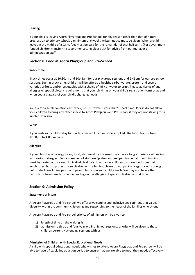### **Leaving**

If your child is leaving Acorn Playgroup and Pre-School, for any reason other than that of natural progression to primary school, a minimum of 6 weeks written notice must be given. When a child leaves in the middle of a term, fees must be paid for the remainder of that half term. (For government funded children transferring to another setting please ask for advice from our manager or administration staff.)

# **Section 8: Food at Acorn Playgroup and Pre-School**

### **Snack Time**

Snack times occur at 10:30am and 10:45am for our playgroup sessions and 2:45pm for our pre-school sessions. During snack time, children will be offered a healthy carbohydrate, protein and several varieties of fruits and/or vegetables with a choice of milk or water to drink. Please advise us of any allergies or special dietary requirements that your child has on your child's registration form or as and when you are aware of your child's changing needs.

We ask for a small donation each week, i.e. £1, towards your child's snack time. Please do not allow your children to bring any other snacks to Acorn Playgroup and Pre-School if they are not staying for a lunch club session.

### **Lunch**

If you wish your child to stay for lunch, a packed lunch must be supplied. The lunch hour is from 12:00pm to 1:00pm daily.

### **Allergies**

If your child has an allergy to any food, staff must be informed. We have a long experience of dealing with serious allergies. Some members of staff are Epi-Pen and Jext pen trained although training must be carried out for each individual child. We do not allow children to share food from their lunchboxes, but to protect those children with allergies, please do not pack any eggs or nuts or egg or nut products (including pesto and peanut butter) in your child's lunch. We may also have other restrictions from time to time, depending on the allergies of specific children at that time.

### **Section 9: Admission Policy**

### **Statement of intent**

At Acorn Playgroup and Pre-school, we offer a welcoming and inclusive environment that values diversity within the community, listening and responding to the needs of the families who attend.

At Acorn Playgroup and Pre-school priority of admission will be given to:

- 1) length of time on the waiting list,
- 2) admission to three and four-year-old Pre-School sessions: priority will be given to those children currently attending sessions with us.

### **Admission of Children with Special Educational Needs:**

A child with special educational needs who wishes to attend Acorn Playgroup and Pre-school will be able to have a flexible introduction period to ensure that we are able to meet their needs effectively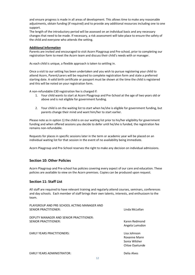and ensure progress is made in all areas of development. This allows time to make any reasonable adjustments, obtain funding (if required) and to provide any additional resources including one to one support.

The length of the introductory period will be assessed on an individual basis and any necessary changes that need to be made. If necessary, a risk assessment will take place to ensure the safety of the child and everyone who attends the setting.

### **Additional Information**

Parents are invited and encouraged to visit Acorn Playgroup and Pre-school, prior to completing our registration form to meet the Acorn team and discuss their child's needs with or manager.

As each child is unique, a flexible approach is taken to settling in.

Once a visit to our setting has been undertaken and you wish to pursue registering your child to attend Acorn, Parent/carers will be required to complete registration form and state a preferred starting date. A valid birth certificate or passport must be shown at the time the child is registered and this will be noted on your registration form.

A non-refundable £30 registration fee is charged if:

- 1. Your child wants to start at Acorn Playgroup and Pre-School at the age of two years old or above and is not eligible for government funding.
- 2. Your child is on the waiting list to start when he/she is eligible for government funding, but parents change their mind and want him/her to start earlier.

Please note as in option 1) the child is on our waiting list prior to his/her eligibility for government funding and when offered sessions you decide to defer until he/she is funded, the registration fee remains non-refundable.

Requests for places in specific sessions later in the term or academic year will be placed on an individual waiting list for that session in the event of no availability being immediate.

Acorn Playgroup and Pre-School reserves the right to make any decision on individual admissions.

# **Section 10: Other Policies**

Acorn Playgroup and Pre-school has policies covering every aspect of our care and education. These policies are available to view on the Acorn premises. Copies can be produced upon request.

# **Section 11: Staff List**

All staff are required to have relevant training and regularly attend courses, seminars, conferences and day schools. Each member of staff brings their own talents, interests, and enthusiasm to the team.

| PLAYGROUP AND PRE-SCHOOL ACTING MANAGER AND<br><b>SENIOR PRACTITIONER:</b> | Linda McLellan                                                  |
|----------------------------------------------------------------------------|-----------------------------------------------------------------|
| DEPUTY MANAGER AND SENIOR PRACTITIONER:<br><b>SENIOR PRACTITIONER:</b>     | Karen Redmond<br>Angela Lumsdon                                 |
| <b>EARLY YEARS PRACTITIONERS:</b>                                          | Lisa Johnson<br>Roxanne Mann<br>Sonia Wilsher<br>Chloe Ovetunde |
|                                                                            |                                                                 |

EARLY YEARS ADMINISTRATOR: Delia Alves